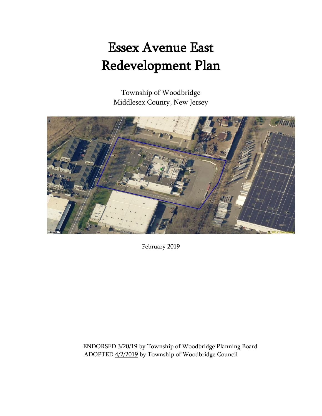# Essex Avenue East Redevelopment Plan

Township of Woodbridge Middlesex County, New Jersey



February 2019

ENDORSED 3/20/19 by Township of Woodbridge Planning Board ADOPTED 4/2/2019 by Township of Woodbridge Council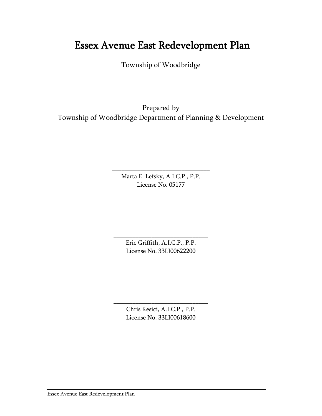## Essex Avenue East Redevelopment Plan

Township of Woodbridge

Prepared by Township of Woodbridge Department of Planning & Development

> Marta E. Lefsky, A.I.C.P., P.P. License No. 05177

\_\_\_\_\_\_\_\_\_\_\_\_\_\_\_\_\_\_\_\_\_\_\_\_\_\_\_\_\_\_\_

\_\_\_\_\_\_\_\_\_\_\_\_\_\_\_\_\_\_\_\_\_\_\_\_\_\_\_\_\_\_ Eric Griffith, A.I.C.P., P.P. License No. 33LI00622200

> Chris Kesici, A.I.C.P., P.P. License No. 33LI00618600

\_\_\_\_\_\_\_\_\_\_\_\_\_\_\_\_\_\_\_\_\_\_\_\_\_\_\_\_\_\_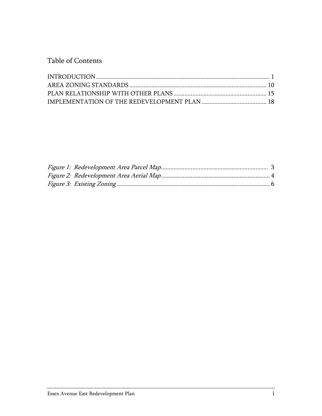Table of Contents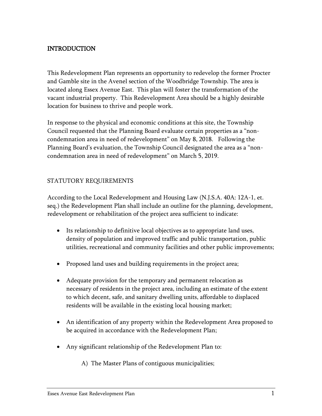## <span id="page-3-0"></span>INTRODUCTION

This Redevelopment Plan represents an opportunity to redevelop the former Procter and Gamble site in the Avenel section of the Woodbridge Township. The area is located along Essex Avenue East. This plan will foster the transformation of the vacant industrial property. This Redevelopment Area should be a highly desirable location for business to thrive and people work.

In response to the physical and economic conditions at this site, the Township Council requested that the Planning Board evaluate certain properties as a "noncondemnation area in need of redevelopment" on May 8, 2018. Following the Planning Board's evaluation, the Township Council designated the area as a "noncondemnation area in need of redevelopment" on March 5, 2019.

## STATUTORY REQUIREMENTS

According to the Local Redevelopment and Housing Law (N.J.S.A. 40A: 12A-1, et. seq.) the Redevelopment Plan shall include an outline for the planning, development, redevelopment or rehabilitation of the project area sufficient to indicate:

- Its relationship to definitive local objectives as to appropriate land uses, density of population and improved traffic and public transportation, public utilities, recreational and community facilities and other public improvements;
- Proposed land uses and building requirements in the project area;
- Adequate provision for the temporary and permanent relocation as necessary of residents in the project area, including an estimate of the extent to which decent, safe, and sanitary dwelling units, affordable to displaced residents will be available in the existing local housing market;
- An identification of any property within the Redevelopment Area proposed to be acquired in accordance with the Redevelopment Plan;
- Any significant relationship of the Redevelopment Plan to:
	- A) The Master Plans of contiguous municipalities;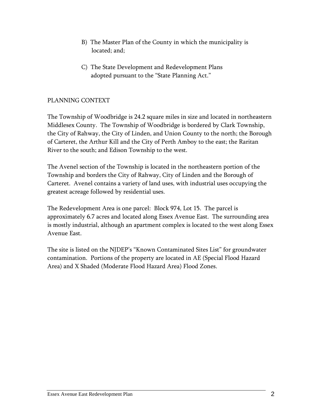- B) The Master Plan of the County in which the municipality is located; and;
- C) The State Development and Redevelopment Plans adopted pursuant to the "State Planning Act."

## PLANNING CONTEXT

The Township of Woodbridge is 24.2 square miles in size and located in northeastern Middlesex County. The Township of Woodbridge is bordered by Clark Township, the City of Rahway, the City of Linden, and Union County to the north; the Borough of Carteret, the Arthur Kill and the City of Perth Amboy to the east; the Raritan River to the south; and Edison Township to the west.

The Avenel section of the Township is located in the northeastern portion of the Township and borders the City of Rahway, City of Linden and the Borough of Carteret. Avenel contains a variety of land uses, with industrial uses occupying the greatest acreage followed by residential uses.

The Redevelopment Area is one parcel: Block 974, Lot 15. The parcel is approximately 6.7 acres and located along Essex Avenue East. The surrounding area is mostly industrial, although an apartment complex is located to the west along Essex Avenue East.

<span id="page-4-0"></span>The site is listed on the NJDEP's "Known Contaminated Sites List" for groundwater contamination. Portions of the property are located in AE (Special Flood Hazard Area) and X Shaded (Moderate Flood Hazard Area) Flood Zones.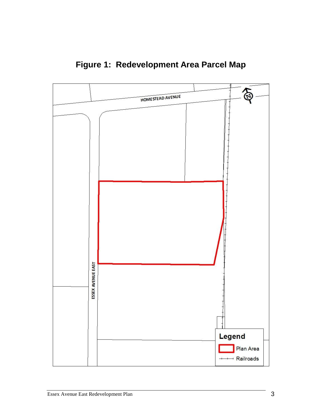

**Figure 1: Redevelopment Area Parcel Map**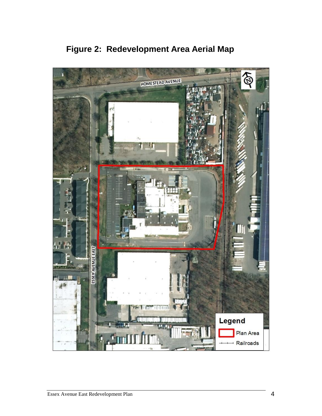<span id="page-6-0"></span>

**Figure 2: Redevelopment Area Aerial Map**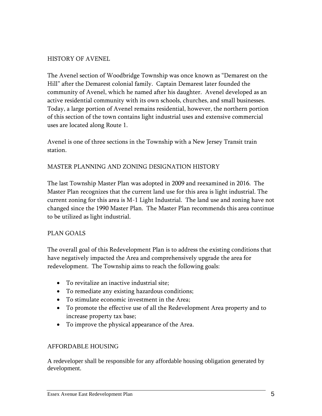#### HISTORY OF AVENEL

The Avenel section of Woodbridge Township was once known as "Demarest on the Hill" after the Demarest colonial family. Captain Demarest later founded the community of Avenel, which he named after his daughter. Avenel developed as an active residential community with its own schools, churches, and small businesses. Today, a large portion of Avenel remains residential, however, the northern portion of this section of the town contains light industrial uses and extensive commercial uses are located along Route 1.

Avenel is one of three sections in the Township with a New Jersey Transit train station.

#### MASTER PLANNING AND ZONING DESIGNATION HISTORY

The last Township Master Plan was adopted in 2009 and reexamined in 2016. The Master Plan recognizes that the current land use for this area is light industrial. The current zoning for this area is M-1 Light Industrial. The land use and zoning have not changed since the 1990 Master Plan. The Master Plan recommends this area continue to be utilized as light industrial.

#### PLAN GOALS

The overall goal of this Redevelopment Plan is to address the existing conditions that have negatively impacted the Area and comprehensively upgrade the area for redevelopment. The Township aims to reach the following goals:

- To revitalize an inactive industrial site;
- To remediate any existing hazardous conditions;
- To stimulate economic investment in the Area;
- To promote the effective use of all the Redevelopment Area property and to increase property tax base;
- To improve the physical appearance of the Area.

#### AFFORDABLE HOUSING

A redeveloper shall be responsible for any affordable housing obligation generated by development.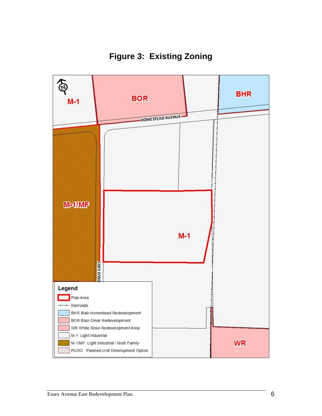

<span id="page-8-0"></span>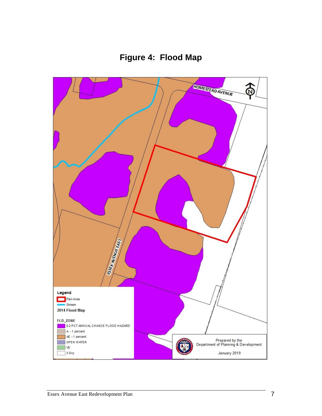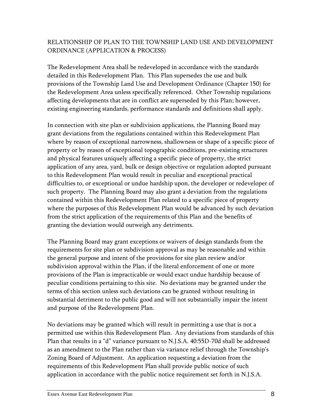## RELATIONSHIP OF PLAN TO THE TOWNSHIP LAND USE AND DEVELOPMENT ORDINANCE (APPLICATION & PROCESS)

The Redevelopment Area shall be redeveloped in accordance with the standards detailed in this Redevelopment Plan. This Plan supersedes the use and bulk provisions of the Township Land Use and Development Ordinance (Chapter 150) for the Redevelopment Area unless specifically referenced. Other Township regulations affecting developments that are in conflict are superseded by this Plan; however, existing engineering standards, performance standards and definitions shall apply.

In connection with site plan or subdivision applications, the Planning Board may grant deviations from the regulations contained within this Redevelopment Plan where by reason of exceptional narrowness, shallowness or shape of a specific piece of property or by reason of exceptional topographic conditions, pre-existing structures and physical features uniquely affecting a specific piece of property, the strict application of any area, yard, bulk or design objective or regulation adopted pursuant to this Redevelopment Plan would result in peculiar and exceptional practical difficulties to, or exceptional or undue hardship upon, the developer or redeveloper of such property. The Planning Board may also grant a deviation from the regulations contained within this Redevelopment Plan related to a specific piece of property where the purposes of this Redevelopment Plan would be advanced by such deviation from the strict application of the requirements of this Plan and the benefits of granting the deviation would outweigh any detriments.

The Planning Board may grant exceptions or waivers of design standards from the requirements for site plan or subdivision approval as may be reasonable and within the general purpose and intent of the provisions for site plan review and/or subdivision approval within the Plan, if the literal enforcement of one or more provisions of the Plan is impracticable or would exact undue hardship because of peculiar conditions pertaining to this site. No deviations may be granted under the terms of this section unless such deviations can be granted without resulting in substantial detriment to the public good and will not substantially impair the intent and purpose of the Redevelopment Plan.

No deviations may be granted which will result in permitting a use that is not a permitted use within this Redevelopment Plan. Any deviations from standards of this Plan that results in a "d" variance pursuant to N.J.S.A. 40:55D-70d shall be addressed as an amendment to the Plan rather than via variance relief through the Township's Zoning Board of Adjustment. An application requesting a deviation from the requirements of this Redevelopment Plan shall provide public notice of such application in accordance with the public notice requirement set forth in N.J.S.A.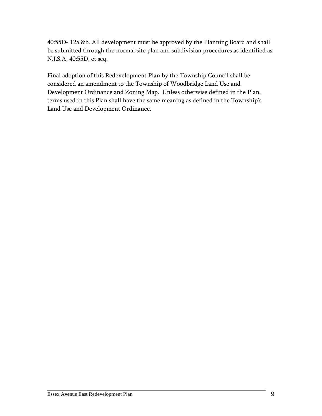40:55D- 12a.&b. All development must be approved by the Planning Board and shall be submitted through the normal site plan and subdivision procedures as identified as N.J.S.A. 40:55D, et seq.

Final adoption of this Redevelopment Plan by the Township Council shall be considered an amendment to the Township of Woodbridge Land Use and Development Ordinance and Zoning Map. Unless otherwise defined in the Plan, terms used in this Plan shall have the same meaning as defined in the Township's Land Use and Development Ordinance.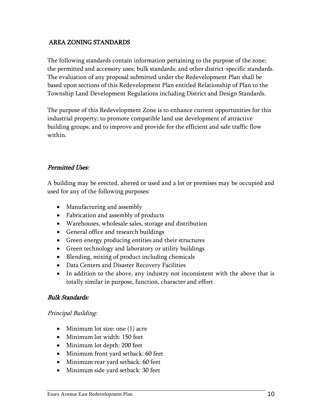## <span id="page-12-0"></span>AREA ZONING STANDARDS

The following standards contain information pertaining to the purpose of the zone; the permitted and accessory uses; bulk standards; and other district-specific standards. The evaluation of any proposal submitted under the Redevelopment Plan shall be based upon sections of this Redevelopment Plan entitled Relationship of Plan to the Township Land Development Regulations including District and Design Standards.

The purpose of this Redevelopment Zone is to enhance current opportunities for this industrial property; to promote compatible land use development of attractive building groups; and to improve and provide for the efficient and safe traffic flow within.

#### Permitted Uses:

A building may be erected, altered or used and a lot or premises may be occupied and used for any of the following purposes:

- Manufacturing and assembly
- Fabrication and assembly of products
- Warehouses, wholesale sales, storage and distribution
- General office and research buildings
- Green energy producing entities and their structures
- Green technology and laboratory or utility buildings
- Blending, mixing of product including chemicals
- Data Centers and Disaster Recovery Facilities
- In addition to the above, any industry not inconsistent with the above that is totally similar in purpose, function, character and effort

#### Bulk Standards:

#### Principal Building:

- Minimum lot size: one (1) acre
- Minimum lot width: 150 feet
- Minimum lot depth: 200 feet
- Minimum front yard setback: 60 feet
- Minimum rear yard setback: 60 feet
- Minimum side yard setback: 30 feet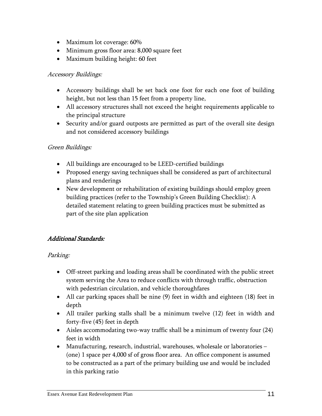- Maximum lot coverage: 60%
- Minimum gross floor area: 8,000 square feet
- Maximum building height: 60 feet

#### Accessory Buildings:

- Accessory buildings shall be set back one foot for each one foot of building height, but not less than 15 feet from a property line,
- All accessory structures shall not exceed the height requirements applicable to the principal structure
- Security and/or guard outposts are permitted as part of the overall site design and not considered accessory buildings

## Green Buildings:

- All buildings are encouraged to be LEED-certified buildings
- Proposed energy saving techniques shall be considered as part of architectural plans and renderings
- New development or rehabilitation of existing buildings should employ green building practices (refer to the Township's Green Building Checklist): A detailed statement relating to green building practices must be submitted as part of the site plan application

## Additional Standards:

## Parking:

- Off-street parking and loading areas shall be coordinated with the public street system serving the Area to reduce conflicts with through traffic, obstruction with pedestrian circulation, and vehicle thoroughfares
- All car parking spaces shall be nine (9) feet in width and eighteen (18) feet in depth
- All trailer parking stalls shall be a minimum twelve (12) feet in width and forty-five (45) feet in depth
- Aisles accommodating two-way traffic shall be a minimum of twenty four (24) feet in width
- Manufacturing, research, industrial, warehouses, wholesale or laboratories (one) 1 space per 4,000 sf of gross floor area. An office component is assumed to be constructed as a part of the primary building use and would be included in this parking ratio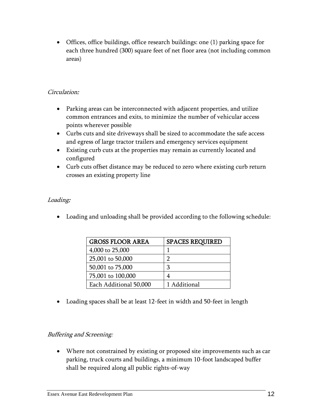Offices, office buildings, office research buildings: one (1) parking space for each three hundred (300) square feet of net floor area (not including common areas)

## Circulation:

- Parking areas can be interconnected with adjacent properties, and utilize common entrances and exits, to minimize the number of vehicular access points wherever possible
- Curbs cuts and site driveways shall be sized to accommodate the safe access and egress of large tractor trailers and emergency services equipment
- Existing curb cuts at the properties may remain as currently located and configured
- Curb cuts offset distance may be reduced to zero where existing curb return crosses an existing property line

## Loading:

Loading and unloading shall be provided according to the following schedule:

| <b>GROSS FLOOR AREA</b> | <b>SPACES REQUIRED</b> |
|-------------------------|------------------------|
| 4,000 to 25,000         |                        |
| 25,001 to 50,000        | ר                      |
| 50,001 to 75,000        | З                      |
| 75,001 to 100,000       |                        |
| Each Additional 50,000  | 1 Additional           |

Loading spaces shall be at least 12-feet in width and 50-feet in length

## Buffering and Screening:

 Where not constrained by existing or proposed site improvements such as car parking, truck courts and buildings, a minimum 10-foot landscaped buffer shall be required along all public rights-of-way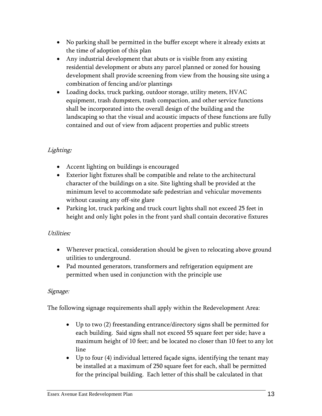- No parking shall be permitted in the buffer except where it already exists at the time of adoption of this plan
- Any industrial development that abuts or is visible from any existing residential development or abuts any parcel planned or zoned for housing development shall provide screening from view from the housing site using a combination of fencing and/or plantings
- Loading docks, truck parking, outdoor storage, utility meters, HVAC equipment, trash dumpsters, trash compaction, and other service functions shall be incorporated into the overall design of the building and the landscaping so that the visual and acoustic impacts of these functions are fully contained and out of view from adjacent properties and public streets

## Lighting:

- Accent lighting on buildings is encouraged
- Exterior light fixtures shall be compatible and relate to the architectural character of the buildings on a site. Site lighting shall be provided at the minimum level to accommodate safe pedestrian and vehicular movements without causing any off-site glare
- Parking lot, truck parking and truck court lights shall not exceed 25 feet in height and only light poles in the front yard shall contain decorative fixtures

## Utilities:

- Wherever practical, consideration should be given to relocating above ground utilities to underground.
- Pad mounted generators, transformers and refrigeration equipment are permitted when used in conjunction with the principle use

## Signage:

The following signage requirements shall apply within the Redevelopment Area:

- Up to two (2) freestanding entrance/directory signs shall be permitted for each building. Said signs shall not exceed 55 square feet per side; have a maximum height of 10 feet; and be located no closer than 10 feet to any lot line
- Up to four (4) individual lettered façade signs, identifying the tenant may be installed at a maximum of 250 square feet for each, shall be permitted for the principal building. Each letter of this shall be calculated in that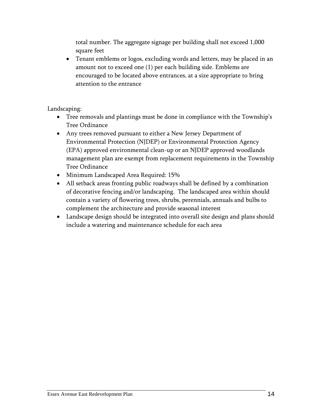total number. The aggregate signage per building shall not exceed 1,000 square feet

 Tenant emblems or logos, excluding words and letters, may be placed in an amount not to exceed one (1) per each building side. Emblems are encouraged to be located above entrances, at a size appropriate to bring attention to the entrance

Landscaping:

- Tree removals and plantings must be done in compliance with the Township's Tree Ordinance
- Any trees removed pursuant to either a New Jersey Department of Environmental Protection (NJDEP) or Environmental Protection Agency (EPA) approved environmental clean-up or an NJDEP approved woodlands management plan are exempt from replacement requirements in the Township Tree Ordinance
- Minimum Landscaped Area Required: 15%
- All setback areas fronting public roadways shall be defined by a combination of decorative fencing and/or landscaping. The landscaped area within should contain a variety of flowering trees, shrubs, perennials, annuals and bulbs to complement the architecture and provide seasonal interest
- Landscape design should be integrated into overall site design and plans should include a watering and maintenance schedule for each area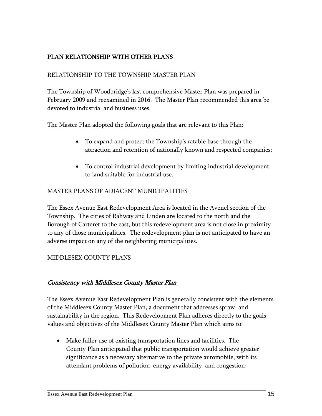## <span id="page-17-0"></span>PLAN RELATIONSHIP WITH OTHER PLANS

## RELATIONSHIP TO THE TOWNSHIP MASTER PLAN

The Township of Woodbridge's last comprehensive Master Plan was prepared in February 2009 and reexamined in 2016. The Master Plan recommended this area be devoted to industrial and business uses.

The Master Plan adopted the following goals that are relevant to this Plan:

- To expand and protect the Township's ratable base through the attraction and retention of nationally known and respected companies;
- To control industrial development by limiting industrial development to land suitable for industrial use.

## MASTER PLANS OF ADJACENT MUNICIPALITIES

The Essex Avenue East Redevelopment Area is located in the Avenel section of the Township. The cities of Rahway and Linden are located to the north and the Borough of Carteret to the east, but this redevelopment area is not close in proximity to any of those municipalities. The redevelopment plan is not anticipated to have an adverse impact on any of the neighboring municipalities.

## MIDDLESEX COUNTY PLANS

## Consistency with Middlesex County Master Plan

The Essex Avenue East Redevelopment Plan is generally consistent with the elements of the Middlesex County Master Plan, a document that addresses sprawl and sustainability in the region. This Redevelopment Plan adheres directly to the goals, values and objectives of the Middlesex County Master Plan which aims to:

 Make fuller use of existing transportation lines and facilities. The County Plan anticipated that public transportation would achieve greater significance as a necessary alternative to the private automobile, with its attendant problems of pollution, energy availability, and congestion;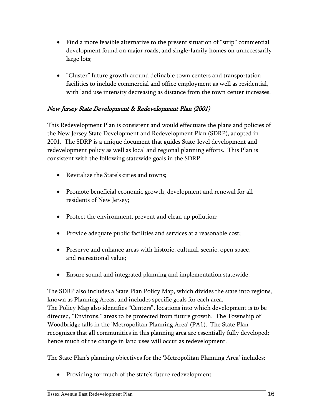- Find a more feasible alternative to the present situation of "strip" commercial development found on major roads, and single-family homes on unnecessarily large lots;
- "Cluster" future growth around definable town centers and transportation facilities to include commercial and office employment as well as residential, with land use intensity decreasing as distance from the town center increases.

## New Jersey State Development & Redevelopment Plan (2001)

This Redevelopment Plan is consistent and would effectuate the plans and policies of the New Jersey State Development and Redevelopment Plan (SDRP), adopted in 2001. The SDRP is a unique document that guides State-level development and redevelopment policy as well as local and regional planning efforts. This Plan is consistent with the following statewide goals in the SDRP.

- Revitalize the State's cities and towns;
- Promote beneficial economic growth, development and renewal for all residents of New Jersey;
- Protect the environment, prevent and clean up pollution;
- Provide adequate public facilities and services at a reasonable cost;
- Preserve and enhance areas with historic, cultural, scenic, open space, and recreational value;
- Ensure sound and integrated planning and implementation statewide.

The SDRP also includes a State Plan Policy Map, which divides the state into regions, known as Planning Areas, and includes specific goals for each area. The Policy Map also identifies "Centers", locations into which development is to be directed, "Environs," areas to be protected from future growth. The Township of Woodbridge falls in the 'Metropolitan Planning Area' (PA1). The State Plan recognizes that all communities in this planning area are essentially fully developed; hence much of the change in land uses will occur as redevelopment.

The State Plan's planning objectives for the 'Metropolitan Planning Area' includes:

• Providing for much of the state's future redevelopment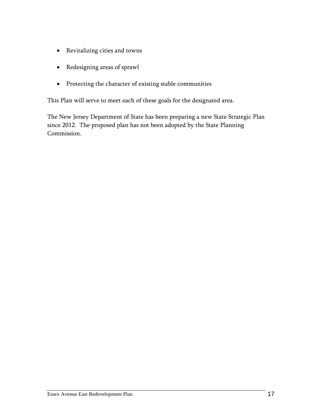- Revitalizing cities and towns
- Redesigning areas of sprawl
- Protecting the character of existing stable communities

This Plan will serve to meet each of these goals for the designated area.

The New Jersey Department of State has been preparing a new State Strategic Plan since 2012. The proposed plan has not been adopted by the State Planning Commission.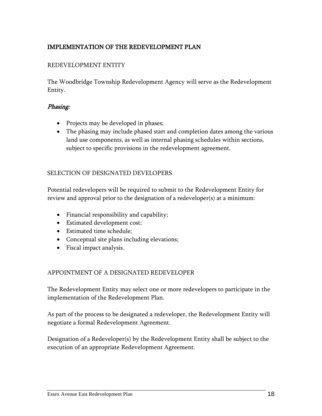## <span id="page-20-0"></span>IMPLEMENTATION OF THE REDEVELOPMENT PLAN

## REDEVELOPMENT ENTITY

The Woodbridge Township Redevelopment Agency will serve as the Redevelopment Entity.

#### Phasing:

- Projects may be developed in phases;
- The phasing may include phased start and completion dates among the various land use components, as well as internal phasing schedules within sections, subject to specific provisions in the redevelopment agreement.

#### SELECTION OF DESIGNATED DEVELOPERS

Potential redevelopers will be required to submit to the Redevelopment Entity for review and approval prior to the designation of a redeveloper(s) at a minimum:

- Financial responsibility and capability;
- Estimated development cost;
- Estimated time schedule;
- Conceptual site plans including elevations;
- Fiscal impact analysis.

## APPOINTMENT OF A DESIGNATED REDEVELOPER

The Redevelopment Entity may select one or more redevelopers to participate in the implementation of the Redevelopment Plan.

As part of the process to be designated a redeveloper, the Redevelopment Entity will negotiate a formal Redevelopment Agreement.

Designation of a Redeveloper(s) by the Redevelopment Entity shall be subject to the execution of an appropriate Redevelopment Agreement.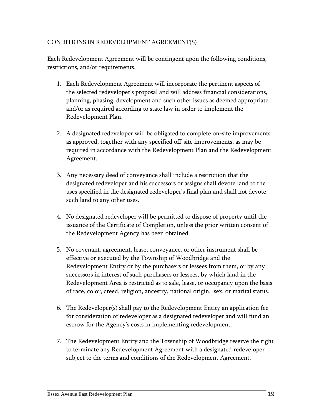## CONDITIONS IN REDEVELOPMENT AGREEMENT(S)

Each Redevelopment Agreement will be contingent upon the following conditions, restrictions, and/or requirements.

- 1. Each Redevelopment Agreement will incorporate the pertinent aspects of the selected redeveloper's proposal and will address financial considerations, planning, phasing, development and such other issues as deemed appropriate and/or as required according to state law in order to implement the Redevelopment Plan.
- 2. A designated redeveloper will be obligated to complete on-site improvements as approved, together with any specified off-site improvements, as may be required in accordance with the Redevelopment Plan and the Redevelopment Agreement.
- 3. Any necessary deed of conveyance shall include a restriction that the designated redeveloper and his successors or assigns shall devote land to the uses specified in the designated redeveloper's final plan and shall not devote such land to any other uses.
- 4. No designated redeveloper will be permitted to dispose of property until the issuance of the Certificate of Completion, unless the prior written consent of the Redevelopment Agency has been obtained.
- 5. No covenant, agreement, lease, conveyance, or other instrument shall be effective or executed by the Township of Woodbridge and the Redevelopment Entity or by the purchasers or lessees from them, or by any successors in interest of such purchasers or lessees, by which land in the Redevelopment Area is restricted as to sale, lease, or occupancy upon the basis of race, color, creed, religion, ancestry, national origin, sex, or marital status.
- 6. The Redeveloper(s) shall pay to the Redevelopment Entity an application fee for consideration of redeveloper as a designated redeveloper and will fund an escrow for the Agency's costs in implementing redevelopment.
- 7. The Redevelopment Entity and the Township of Woodbridge reserve the right to terminate any Redevelopment Agreement with a designated redeveloper subject to the terms and conditions of the Redevelopment Agreement.